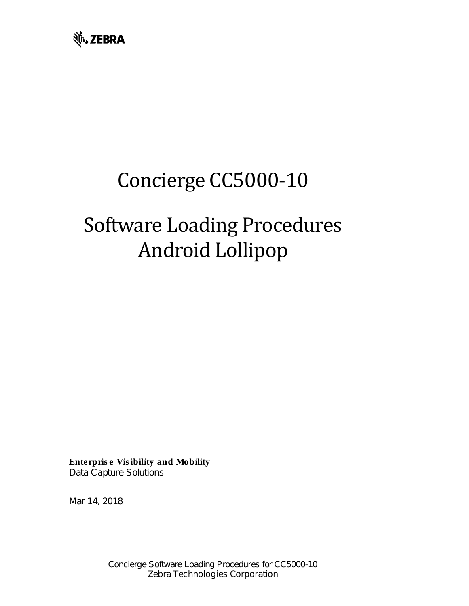

# Concierge CC5000-10

# Software Loading Procedures Android Lollipop

Enterprise Visibility and Mobility Data Capture Solutions

Mar 14, 2018

Concierge Software Loading Procedures for CC5000-10 *Zebra Technologies Corporation*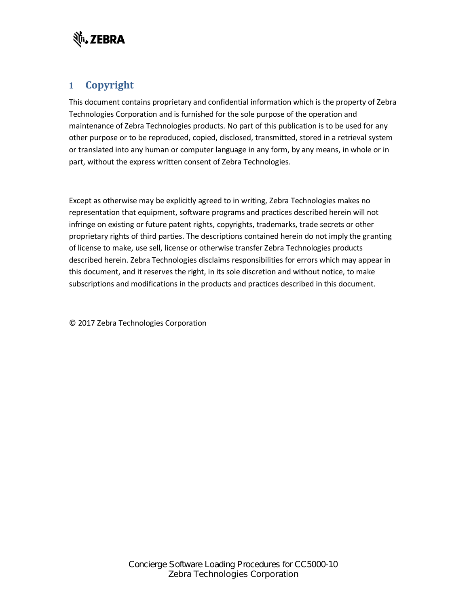

### **1 Copyright**

This document contains proprietary and confidential information which is the property of Zebra Technologies Corporation and is furnished for the sole purpose of the operation and maintenance of Zebra Technologies products. No part of this publication is to be used for any other purpose or to be reproduced, copied, disclosed, transmitted, stored in a retrieval system or translated into any human or computer language in any form, by any means, in whole or in part, without the express written consent of Zebra Technologies.

Except as otherwise may be explicitly agreed to in writing, Zebra Technologies makes no representation that equipment, software programs and practices described herein will not infringe on existing or future patent rights, copyrights, trademarks, trade secrets or other proprietary rights of third parties. The descriptions contained herein do not imply the granting of license to make, use sell, license or otherwise transfer Zebra Technologies products described herein. Zebra Technologies disclaims responsibilities for errors which may appear in this document, and it reserves the right, in its sole discretion and without notice, to make subscriptions and modifications in the products and practices described in this document.

© 2017 Zebra Technologies Corporation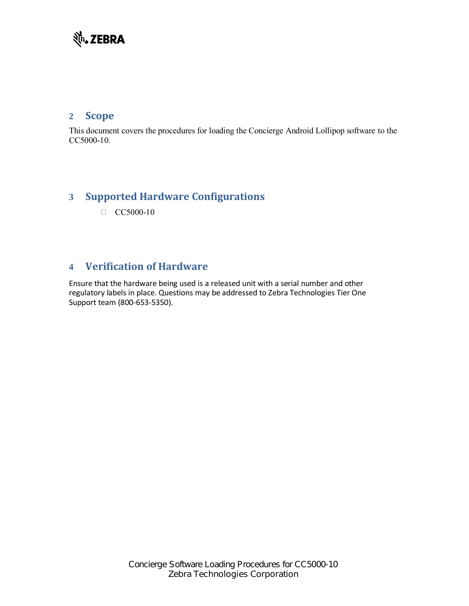# **並、ZEBRA**

#### **2 Scope**

This document covers the procedures for loading the Concierge Android Lollipop software to the CC5000-10.

### **3 Supported Hardware Configurations**

 $\Box$  CC5000-10

## **4 Verification of Hardware**

Ensure that the hardware being used is a released unit with a serial number and other regulatory labels in place. Questions may be addressed to Zebra Technologies Tier One Support team (800-653-5350).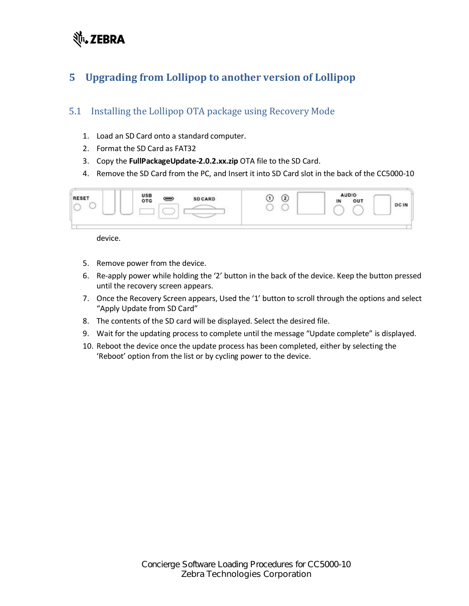# र्शेष्**, ZEBRA**

# <span id="page-3-0"></span>**5 Upgrading from Lollipop to another version of Lollipop**

## 5.1 Installing the Lollipop OTA package using Recovery Mode

- 1. Load an SD Card onto a standard computer.
- 2. Format the SD Card as FAT32
- 3. Copy the **FullPackageUpdate-2.0.2.xx.zip** OTA file to the SD Card.
- 4. Remove the SD Card from the PC, and Insert it into SD Card slot in the back of the CC5000-10



device.

- 5. Remove power from the device.
- 6. Re-apply power while holding the '2' button in the back of the device. Keep the button pressed until the recovery screen appears.
- 7. Once the Recovery Screen appears, Used the '1' button to scroll through the options and select "Apply Update from SD Card"
- 8. The contents of the SD card will be displayed. Select the desired file.
- 9. Wait for the updating process to complete until the message "Update complete" is displayed.
- 10. Reboot the device once the update process has been completed, either by selecting the 'Reboot' option from the list or by cycling power to the device.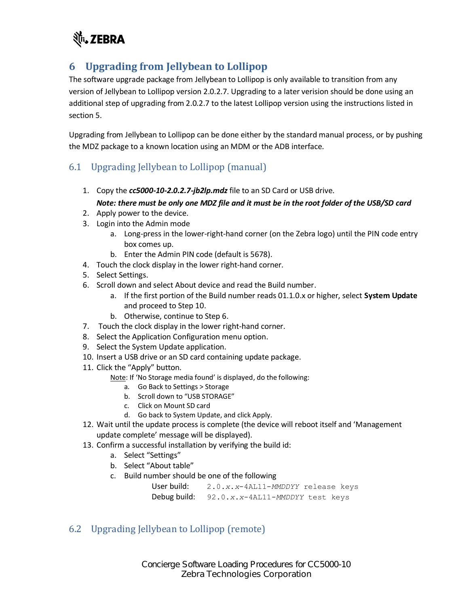

# **6 Upgrading from Jellybean to Lollipop**

The software upgrade package from Jellybean to Lollipop is only available to transition from any version of Jellybean to Lollipop version 2.0.2.7. Upgrading to a later verision should be done using an additional step of upgrading from 2.0.2.7 to the latest Lollipop version using the instructions listed in sectio[n 5.](#page-3-0)

Upgrading from Jellybean to Lollipop can be done either by the standard manual process, or by pushing the MDZ package to a known location using an MDM or the ADB interface.

#### 6.1 Upgrading Jellybean to Lollipop (manual)

1. Copy the *cc5000-10-2.0.2.7-jb2lp.mdz* file to an SD Card or USB drive.

#### *Note: there must be only one MDZ file and it must be in the root folder of the USB/SD card*

- 2. Apply power to the device.
- 3. Login into the Admin mode
	- a. Long-press in the lower-right-hand corner (on the Zebra logo) until the PIN code entry box comes up.
	- b. Enter the Admin PIN code (default is 5678).
- 4. Touch the clock display in the lower right-hand corner.
- 5. Select Settings.
- 6. Scroll down and select About device and read the Build number.
	- a. If the first portion of the Build number reads 01.1.0.x or higher, select **System Update** and proceed to Step 10.
	- b. Otherwise, continue to Step 6.
- 7. Touch the clock display in the lower right-hand corner.
- 8. Select the Application Configuration menu option.
- 9. Select the System Update application.
- 10. Insert a USB drive or an SD card containing update package.
- 11. Click the "Apply" button.
	- Note: If 'No Storage media found' is displayed, do the following:
		- a. Go Back to Settings > Storage
		- b. Scroll down to "USB STORAGE"
		- c. Click on Mount SD card
		- d. Go back to System Update, and click Apply.
- 12. Wait until the update process is complete (the device will reboot itself and 'Management update complete' message will be displayed).
- 13. Confirm a successful installation by verifying the build id:
	- a. Select "Settings"
	- b. Select "About table"
	- c. Build number should be one of the following

User build: 2.0.*x*.*x*-4AL11-*MMDDYY* release keys Debug build: 92.0.*x*.*x*-4AL11-*MMDDYY* test keys

#### 6.2 Upgrading Jellybean to Lollipop (remote)